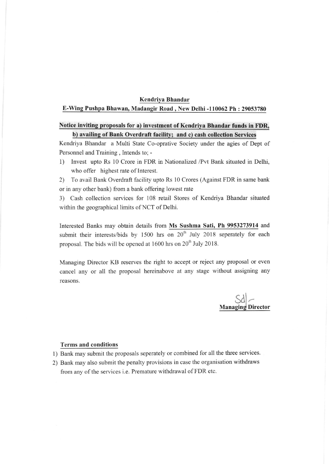## Kendriva Bhandar

## E-Wing Pushpa Bhawan, Madangir Road, New Delhi -110062 Ph : 29053780

## Notice invitinq proposals for a) investment of Kendriva Bhandar funds in FDR, b) availinq of Bank Overdraft facility; and c) cash collection Services

Kendriya Bhandar a Multi State Co-oprative Society under the agies of Dept of Personnel and Training , Intends to; -

1) Invest upto Rs 10 Crore in FDR in Nationalized /Pvt Bank situated in Delhi, who offer highest rate of Interest.

2) To avail Bank Overdraft facility upto Rs 10 Crores (Against FDR in same bank or in any other bank) from a bank offering lowest rate

3) Cash collection services for 108 retail Stores of Kendriya Bhandar situated within the geographical limits of NCT of Delhi.

Interested Banks may obtain details from Ms Sushma Sati, Ph 9953273914 and submit their interests/bids by  $1500$  hrs on  $20<sup>th</sup>$  July 2018 seperately for each proposal. The bids will be opened at  $1600$  hrs on  $20<sup>th</sup>$  July 2018.

Managing Director KB reserves the right to accept or reject any proposal or even cancel any or all the proposal hereinabove at any stage without assigning any reasons.

Sd **Managing Director** 

## Terms and conditions

- 1) Bank may submit the proposals seperately or combined for all the three services.
- 2) Bank may also submit the penalty provisions in case the organisation withdraws from any of the services i.e. Premature withdrawal of FDR etc.